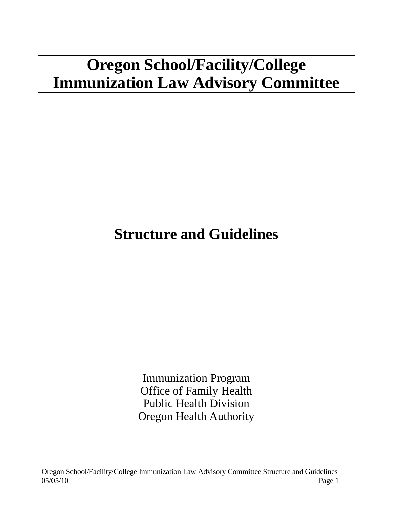# **Oregon School/Facility/College Immunization Law Advisory Committee**

## **Structure and Guidelines**

Immunization Program Office of Family Health Public Health Division Oregon Health Authority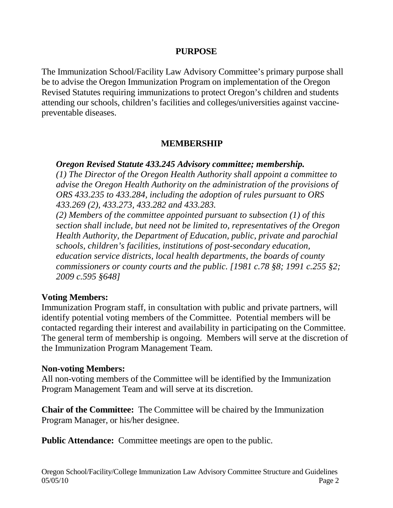#### **PURPOSE**

The Immunization School/Facility Law Advisory Committee's primary purpose shall be to advise the Oregon Immunization Program on implementation of the Oregon Revised Statutes requiring immunizations to protect Oregon's children and students attending our schools, children's facilities and colleges/universities against vaccinepreventable diseases.

#### **MEMBERSHIP**

#### *Oregon Revised Statute 433.245 Advisory committee; membership.*

*(1) The Director of the Oregon Health Authority shall appoint a committee to advise the Oregon Health Authority on the administration of the provisions of ORS 433.235 to 433.284, including the adoption of rules pursuant to ORS 433.269 (2), 433.273, 433.282 and 433.283.*

*(2) Members of the committee appointed pursuant to subsection (1) of this section shall include, but need not be limited to, representatives of the Oregon Health Authority, the Department of Education, public, private and parochial schools, children's facilities, institutions of post-secondary education, education service districts, local health departments, the boards of county commissioners or county courts and the public. [1981 c.78 §8; 1991 c.255 §2; 2009 c.595 §648]*

#### **Voting Members:**

Immunization Program staff, in consultation with public and private partners, will identify potential voting members of the Committee. Potential members will be contacted regarding their interest and availability in participating on the Committee. The general term of membership is ongoing. Members will serve at the discretion of the Immunization Program Management Team.

#### **Non-voting Members:**

All non-voting members of the Committee will be identified by the Immunization Program Management Team and will serve at its discretion.

**Chair of the Committee:** The Committee will be chaired by the Immunization Program Manager, or his/her designee.

**Public Attendance:** Committee meetings are open to the public.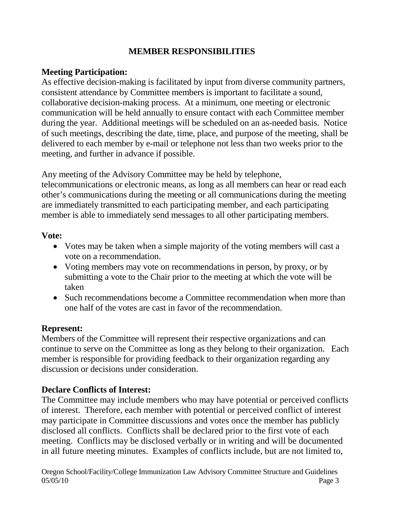#### **MEMBER RESPONSIBILITIES**

## **Meeting Participation:**

As effective decision-making is facilitated by input from diverse community partners, consistent attendance by Committee members is important to facilitate a sound, collaborative decision-making process. At a minimum, one meeting or electronic communication will be held annually to ensure contact with each Committee member during the year. Additional meetings will be scheduled on an as-needed basis. Notice of such meetings, describing the date, time, place, and purpose of the meeting, shall be delivered to each member by e-mail or telephone not less than two weeks prior to the meeting, and further in advance if possible.

Any meeting of the Advisory Committee may be held by telephone,

telecommunications or electronic means, as long as all members can hear or read each other's communications during the meeting or all communications during the meeting are immediately transmitted to each participating member, and each participating member is able to immediately send messages to all other participating members.

#### **Vote:**

- Votes may be taken when a simple majority of the voting members will cast a vote on a recommendation.
- Voting members may vote on recommendations in person, by proxy, or by submitting a vote to the Chair prior to the meeting at which the vote will be taken
- Such recommendations become a Committee recommendation when more than one half of the votes are cast in favor of the recommendation.

## **Represent:**

Members of the Committee will represent their respective organizations and can continue to serve on the Committee as long as they belong to their organization. Each member is responsible for providing feedback to their organization regarding any discussion or decisions under consideration.

## **Declare Conflicts of Interest:**

The Committee may include members who may have potential or perceived conflicts of interest. Therefore, each member with potential or perceived conflict of interest may participate in Committee discussions and votes once the member has publicly disclosed all conflicts. Conflicts shall be declared prior to the first vote of each meeting. Conflicts may be disclosed verbally or in writing and will be documented in all future meeting minutes. Examples of conflicts include, but are not limited to,